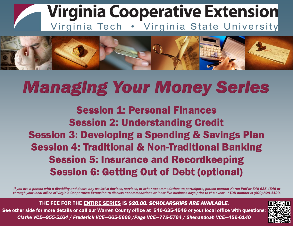



## **Managing Your Money Series**

**Session 1: Personal Finances Session 2: Understanding Credit Session 3: Developing a Spending & Savings Plan Session 4: Traditional & Non-Traditional Banking Session 5: Insurance and Recordkeeping Session 6: Getting Out of Debt (optional)** 

*If you are a person with a disability and desire any assistive devices, services, or other accommodations to participate, please contact Karen Poff at 540-635-4549 or through your local office of Virginia Cooperative Extension to discuss accommodations at least five business days prior to the event. \*TDD number is (800) 828-1120.* 

THE FEE FOR THE ENTIRE SERIES IS *\$20.00. SCHOLARSHIPS ARE AVAILABLE.* 

See other side for more details or call our Warren County office at 540-635-4549 or your local office with questions: *Clarke VCE—955-5164 / Frederick VCE—665-5699 /Page VCE—778-5794 / Shenandoah VCE—459-6140*